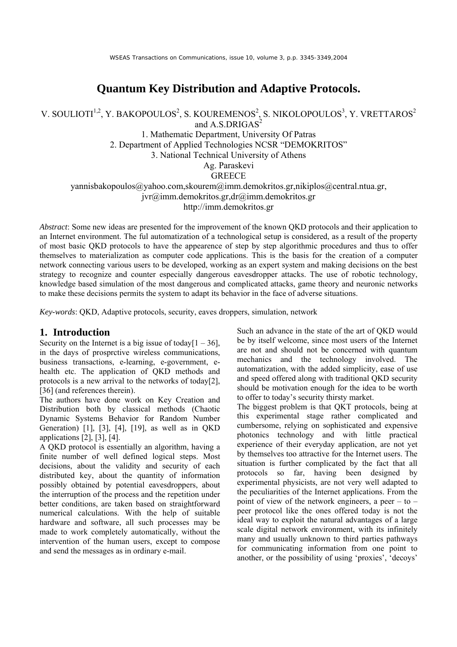# **Quantum Key Distribution and Adaptive Protocols.**

V. SOULIOTI<sup>1,2</sup>, Y. BAKOPOULOS<sup>2</sup>, S. KOUREMENOS<sup>2</sup>, S. NIKOLOPOULOS<sup>3</sup>, Y. VRETTAROS<sup>2</sup> and  $A.S.DRIGAS<sup>2</sup>$ 

> 1. Mathematic Department, University Of Patras 2. Department of Applied Technologies NCSR "DEMOKRITOS" 3. National Technical University of Athens Ag. Paraskevi **GREECE**

yannisbakopoulos@yahoo.com,skourem@imm.demokritos.gr,nikiplos@central.ntua.gr, jvr@imm.demokritos.gr,dr@imm.demokritos.gr http://imm.demokritos.gr

*Abstract*: Some new ideas are presented for the improvement of the known QKD protocols and their application to an Internet environment. The ful automatization of a technological setup is considered, as a result of the property of most basic QKD protocols to have the appearence of step by step algorithmic procedures and thus to offer themselves to materialization as computer code applications. This is the basis for the creation of a computer network connecting various users to be developed, working as an expert system and making decisions on the best strategy to recognize and counter especially dangerous eavesdropper attacks. The use of robotic technology, knowledge based simulation of the most dangerous and complicated attacks, game theory and neuronic networks to make these decisions permits the system to adapt its behavior in the face of adverse situations.

*Key-words*: QKD, Adaptive protocols, security, eaves droppers, simulation, network

#### **1. Introduction**

Security on the Internet is a big issue of today  $[1 - 36]$ , in the days of prosprctive wireless communications, business transactions, e-learning, e-government, ehealth etc. The application of QKD methods and protocols is a new arrival to the networks of today[2], [36] (and references therein).

The authors have done work on Key Creation and Distribution both by classical methods (Chaotic Dynamic Systems Behavior for Random Number Generation) [1], [3], [4], [19], as well as in QKD applications [2], [3], [4].

A QKD protocol is essentially an algorithm, having a finite number of well defined logical steps. Most decisions, about the validity and security of each distributed key, about the quantity of information possibly obtained by potential eavesdroppers, about the interruption of the process and the repetition under better conditions, are taken based on straightforward numerical calculations. With the help of suitable hardware and software, all such processes may be made to work completely automatically, without the intervention of the human users, except to compose and send the messages as in ordinary e-mail.

Such an advance in the state of the art of QKD would be by itself welcome, since most users of the Internet are not and should not be concerned with quantum mechanics and the technology involved. The automatization, with the added simplicity, ease of use and speed offered along with traditional QKD security should be motivation enough for the idea to be worth to offer to today's security thirsty market.

The biggest problem is that QKT protocols, being at this experimental stage rather complicated and cumbersome, relying on sophisticated and expensive photonics technology and with little practical experience of their everyday application, are not yet by themselves too attractive for the Internet users. The situation is further complicated by the fact that all protocols so far, having been designed by experimental physicists, are not very well adapted to the peculiarities of the Internet applications. From the point of view of the network engineers, a peer  $-$  to  $$ peer protocol like the ones offered today is not the ideal way to exploit the natural advantages of a large scale digital network environment, with its infinitely many and usually unknown to third parties pathways for communicating information from one point to another, or the possibility of using 'proxies', 'decoys'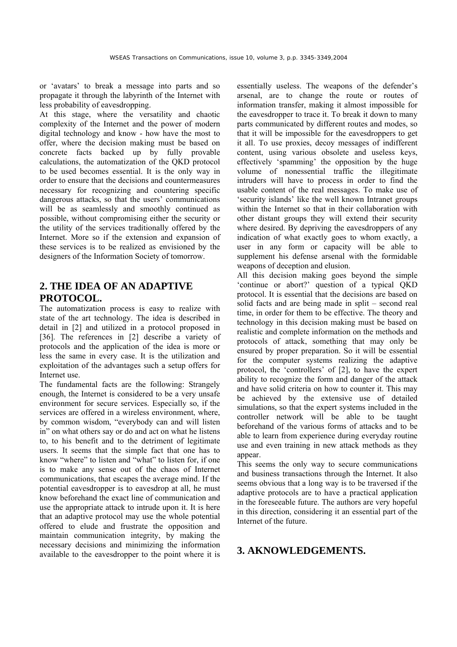or 'avatars' to break a message into parts and so propagate it through the labyrinth of the Internet with less probability of eavesdropping.

At this stage, where the versatility and chaotic complexity of the Internet and the power of modern digital technology and know - how have the most to offer, where the decision making must be based on concrete facts backed up by fully provable calculations, the automatization of the QKD protocol to be used becomes essential. It is the only way in order to ensure that the decisions and countermeasures necessary for recognizing and countering specific dangerous attacks, so that the users' communications will be as seamlessly and smoothly continued as possible, without compromising either the security or the utility of the services traditionally offered by the Internet. More so if the extension and expansion of these services is to be realized as envisioned by the designers of the Information Society of tomorrow.

## **2. THE IDEA OF AN ADAPTIVE PROTOCOL.**

The automatization process is easy to realize with state of the art technology. The idea is described in detail in [2] and utilized in a protocol proposed in [36]. The references in [2] describe a variety of protocols and the application of the idea is more or less the same in every case. It is the utilization and exploitation of the advantages such a setup offers for Internet use.

The fundamental facts are the following: Strangely enough, the Internet is considered to be a very unsafe environment for secure services. Especially so, if the services are offered in a wireless environment, where, by common wisdom, "everybody can and will listen in" on what others say or do and act on what he listens to, to his benefit and to the detriment of legitimate users. It seems that the simple fact that one has to know "where" to listen and "what" to listen for, if one is to make any sense out of the chaos of Internet communications, that escapes the average mind. If the potential eavesdropper is to eavesdrop at all, he must know beforehand the exact line of communication and use the appropriate attack to intrude upon it. It is here that an adaptive protocol may use the whole potential offered to elude and frustrate the opposition and maintain communication integrity, by making the necessary decisions and minimizing the information available to the eavesdropper to the point where it is essentially useless. The weapons of the defender's arsenal, are to change the route or routes of information transfer, making it almost impossible for the eavesdropper to trace it. To break it down to many parts communicated by different routes and modes, so that it will be impossible for the eavesdroppers to get it all. To use proxies, decoy messages of indifferent content, using various obsolete and useless keys, effectively 'spamming' the opposition by the huge volume of nonessential traffic the illegitimate intruders will have to process in order to find the usable content of the real messages. To make use of 'security islands' like the well known Intranet groups within the Internet so that in their collaboration with other distant groups they will extend their security where desired. By depriving the eavesdroppers of any indication of what exactly goes to whom exactly, a user in any form or capacity will be able to supplement his defense arsenal with the formidable weapons of deception and elusion.

All this decision making goes beyond the simple 'continue or abort?' question of a typical QKD protocol. It is essential that the decisions are based on solid facts and are being made in split – second real time, in order for them to be effective. The theory and technology in this decision making must be based on realistic and complete information on the methods and protocols of attack, something that may only be ensured by proper preparation. So it will be essential for the computer systems realizing the adaptive protocol, the 'controllers' of [2], to have the expert ability to recognize the form and danger of the attack and have solid criteria on how to counter it. This may be achieved by the extensive use of detailed simulations, so that the expert systems included in the controller network will be able to be taught beforehand of the various forms of attacks and to be able to learn from experience during everyday routine use and even training in new attack methods as they appear.

This seems the only way to secure communications and business transactions through the Internet. It also seems obvious that a long way is to be traversed if the adaptive protocols are to have a practical application in the foreseeable future. The authors are very hopeful in this direction, considering it an essential part of the Internet of the future.

### **3. AKNOWLEDGEMENTS.**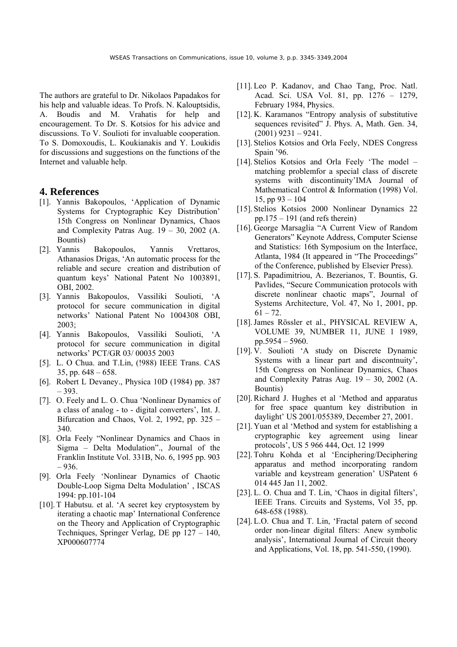The authors are grateful to Dr. Nikolaos Papadakos for his help and valuable ideas. To Profs. N. Kalouptsidis, A. Boudis and M. Vrahatis for help and encouragement. To Dr. S. Kotsios for his advice and discussions. To V. Soulioti for invaluable cooperation. To S. Domoxoudis, L. Koukianakis and Y. Loukidis for discussions and suggestions on the functions of the Internet and valuable help.

#### **4. References**

- [1]. Yannis Bakopoulos, 'Application of Dynamic Systems for Cryptographic Key Distribution' 15th Congress on Nonlinear Dynamics, Chaos and Complexity Patras Aug.  $19 - 30$ ,  $2002$  (A. Bountis)
- [2]. Yannis Bakopoulos, Yannis Vrettaros, Athanasios Drigas, 'An automatic process for the reliable and secure creation and distribution of quantum keys' National Patent Νο 1003891, ΟΒΙ, 2002.
- [3]. Yannis Bakopoulos, Vassiliki Soulioti, 'A protocol for secure communication in digital networks' National Patent Νο 1004308 ΟΒΙ, 2003;
- [4]. Yannis Bakopoulos, Vassiliki Soulioti, 'A protocol for secure communication in digital networks' PCT/GR 03/ 00035 2003
- [5]. L. O Chua. and T.Lin, (!988) IEEE Trans. CAS 35, pp.  $648 - 658$ .
- [6]. Robert L Devaney., Physica 10D (1984) pp. 387 – 393.
- [7]. O. Feely and L. O. Chua 'Nonlinear Dynamics of a class of analog - to - digital converters', Int. J. Bifurcation and Chaos, Vol. 2, 1992, pp. 325 – 340.
- [8]. Orla Feely "Nonlinear Dynamics and Chaos in Sigma – Delta Modulation"., Journal of the Franklin Institute Vol. 331B, No. 6, 1995 pp. 903 – 936.
- [9]. Orla Feely 'Nonlinear Dynamics of Chaotic Double-Loop Sigma Delta Modulation' , ISCAS 1994: pp.101-104
- [10]. T Habutsu. et al. 'A secret key cryptosystem by iterating a chaotic map' International Conference on the Theory and Application of Cryptographic Techniques, Springer Verlag, DE pp 127 – 140, XP000607774
- [11]. Leo P. Kadanov, and Chao Tang, Proc. Natl. Acad. Sci. USA Vol. 81, pp. 1276 – 1279, February 1984, Physics.
- [12]. K. Karamanos "Entropy analysis of substitutive sequences revisited" J. Phys. A, Math. Gen. 34,  $(2001)$  9231 – 9241.
- [13]. Stelios Kotsios and Orla Feely, NDES Congress Spain '96.
- [14]. Stelios Kotsios and Orla Feely 'The model matching problemfor a special class of discrete systems with discontinuity'IMA Journal of Mathematical Control & Information (1998) Vol. 15, pp 93 – 104
- [15]. Stelios Kotsios 2000 Nonlinear Dynamics 22 pp.175 – 191 (and refs therein)
- [16]. George Marsaglia "A Current View of Random Generators" Keynote Address, Computer Sciense and Statistics: 16th Symposium on the Interface, Atlanta, 1984 (It appeared in "The Proceedings" of the Conference, published by Elsevier Press).
- [17]. S. Papadimitriou, A. Bezerianos, T. Bountis, G. Pavlides, "Secure Communication protocols with discrete nonlinear chaotic maps", Journal of Systems Architecture, Vol. 47, No 1, 2001, pp.  $61 - 72$ .
- [18].James Rössler et al., PHYSICAL REVIEW A, VOLUME 39, NUMBER 11, JUNE 1 1989, pp.5954 – 5960.
- [19]. V. Soulioti 'A study on Discrete Dynamic Systems with a linear part and discontnuity', 15th Congress on Nonlinear Dynamics, Chaos and Complexity Patras Aug.  $19 - 30$ ,  $2002$  (A. Bountis)
- [20].Richard J. Hughes et al 'Method and apparatus for free space quantum key distribution in daylight' US 2001/055389, December 27, 2001.
- [21]. Yuan et al 'Method and system for establishing a cryptographic key agreement using linear protocols', US 5 966 444, Oct. 12 1999
- [22]. Tohru Kohda et al 'Enciphering/Deciphering apparatus and method incorporating random variable and keystream generation' USPatent 6 014 445 Jan 11, 2002.
- [23]. L. O. Chua and T. Lin, 'Chaos in digital filters', IEEE Trans. Circuits and Systems, Vol 35, pp. 648-658 (1988).
- [24]. L.O. Chua and T. Lin, 'Fractal patern of second order non-linear digital filters: Anew symbolic analysis', International Journal of Circuit theory and Applications, Vol. 18, pp. 541-550, (1990).